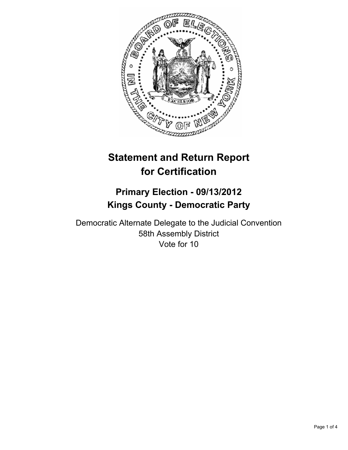

# **Statement and Return Report for Certification**

# **Primary Election - 09/13/2012 Kings County - Democratic Party**

Democratic Alternate Delegate to the Judicial Convention 58th Assembly District Vote for 10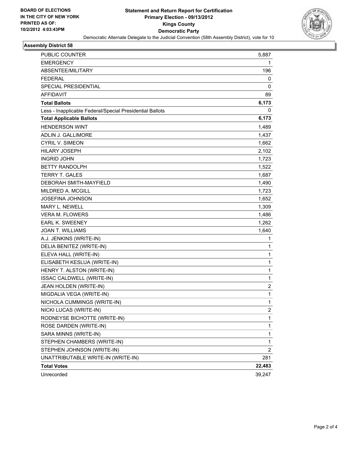

## **Assembly District 58**

| <b>PUBLIC COUNTER</b>                                    | 5,887        |
|----------------------------------------------------------|--------------|
| <b>EMERGENCY</b>                                         | 1            |
| ABSENTEE/MILITARY                                        | 196          |
| <b>FEDERAL</b>                                           | 0            |
| SPECIAL PRESIDENTIAL                                     | 0            |
| <b>AFFIDAVIT</b>                                         | 89           |
| <b>Total Ballots</b>                                     | 6,173        |
| Less - Inapplicable Federal/Special Presidential Ballots | 0            |
| <b>Total Applicable Ballots</b>                          | 6,173        |
| <b>HENDERSON WINT</b>                                    | 1,489        |
| ADLIN J. GALLIMORE                                       | 1,437        |
| <b>CYRIL V. SIMEON</b>                                   | 1,662        |
| <b>HILARY JOSEPH</b>                                     | 2,102        |
| <b>INGRID JOHN</b>                                       | 1,723        |
| BETTY RANDOLPH                                           | 1,522        |
| <b>TERRY T. GALES</b>                                    | 1,687        |
| <b>DEBORAH SMITH-MAYFIELD</b>                            | 1,490        |
| MILDRED A. MCGILL                                        | 1,723        |
| JOSEFINA JOHNSON                                         | 1,652        |
| <b>MARY L. NEWELL</b>                                    | 1,309        |
| <b>VERA M. FLOWERS</b>                                   | 1,486        |
| <b>EARL K. SWEENEY</b>                                   | 1,262        |
| <b>JOAN T. WILLIAMS</b>                                  | 1,640        |
| A.J. JENKINS (WRITE-IN)                                  | 1            |
| DELIA BENITEZ (WRITE-IN)                                 | 1            |
| ELEVA HALL (WRITE-IN)                                    | $\mathbf{1}$ |
| ELISABETH KESLUA (WRITE-IN)                              | 1            |
| HENRY T. ALSTON (WRITE-IN)                               | 1            |
| ISSAC CALDWELL (WRITE-IN)                                | 1            |
| JEAN HOLDEN (WRITE-IN)                                   | 2            |
| MIGDALIA VEGA (WRITE-IN)                                 | 1            |
| NICHOLA CUMMINGS (WRITE-IN)                              | 1            |
| NICKI LUCAS (WRITE-IN)                                   | 2            |
| RODNEYSE BICHOTTE (WRITE-IN)                             | $\mathbf{1}$ |
| ROSE DARDEN (WRITE-IN)                                   | 1            |
| SARA MINNS (WRITE-IN)                                    | 1            |
| STEPHEN CHAMBERS (WRITE-IN)                              | 1            |
| STEPHEN JOHNSON (WRITE-IN)                               | 2            |
| UNATTRIBUTABLE WRITE-IN (WRITE-IN)                       | 281          |
| <b>Total Votes</b>                                       | 22,483       |
| Unrecorded                                               | 39,247       |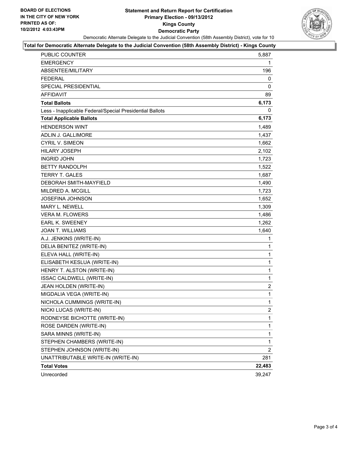#### **Statement and Return Report for Certification Primary Election - 09/13/2012 Kings County Democratic Party** Democratic Alternate Delegate to the Judicial Convention (58th Assembly District), vote for 10



#### **Total for Democratic Alternate Delegate to the Judicial Convention (58th Assembly District) - Kings County**

| <b>PUBLIC COUNTER</b>                                    | 5,887          |
|----------------------------------------------------------|----------------|
| <b>EMERGENCY</b>                                         | 1              |
| ABSENTEE/MILITARY                                        | 196            |
| <b>FEDERAL</b>                                           | 0              |
| <b>SPECIAL PRESIDENTIAL</b>                              | 0              |
| <b>AFFIDAVIT</b>                                         | 89             |
| <b>Total Ballots</b>                                     | 6,173          |
| Less - Inapplicable Federal/Special Presidential Ballots | 0              |
| <b>Total Applicable Ballots</b>                          | 6,173          |
| <b>HENDERSON WINT</b>                                    | 1,489          |
| ADLIN J. GALLIMORE                                       | 1,437          |
| <b>CYRIL V. SIMEON</b>                                   | 1,662          |
| <b>HILARY JOSEPH</b>                                     | 2,102          |
| <b>INGRID JOHN</b>                                       | 1,723          |
| <b>BETTY RANDOLPH</b>                                    | 1,522          |
| <b>TERRY T. GALES</b>                                    | 1,687          |
| DEBORAH SMITH-MAYFIELD                                   | 1,490          |
| <b>MILDRED A. MCGILL</b>                                 | 1,723          |
| <b>JOSEFINA JOHNSON</b>                                  | 1,652          |
| <b>MARY L. NEWELL</b>                                    | 1,309          |
| <b>VERA M. FLOWERS</b>                                   | 1,486          |
| <b>EARL K. SWEENEY</b>                                   | 1,262          |
| <b>JOAN T. WILLIAMS</b>                                  | 1,640          |
| A.J. JENKINS (WRITE-IN)                                  | 1              |
| DELIA BENITEZ (WRITE-IN)                                 | 1              |
| ELEVA HALL (WRITE-IN)                                    | $\mathbf{1}$   |
| ELISABETH KESLUA (WRITE-IN)                              | 1              |
| HENRY T. ALSTON (WRITE-IN)                               | $\mathbf 1$    |
| ISSAC CALDWELL (WRITE-IN)                                | $\mathbf{1}$   |
| JEAN HOLDEN (WRITE-IN)                                   | $\overline{2}$ |
| MIGDALIA VEGA (WRITE-IN)                                 | 1              |
| NICHOLA CUMMINGS (WRITE-IN)                              | $\mathbf{1}$   |
| NICKI LUCAS (WRITE-IN)                                   | 2              |
| RODNEYSE BICHOTTE (WRITE-IN)                             | 1              |
| ROSE DARDEN (WRITE-IN)                                   | $\mathbf 1$    |
| SARA MINNS (WRITE-IN)                                    | 1              |
| STEPHEN CHAMBERS (WRITE-IN)                              | 1              |
| STEPHEN JOHNSON (WRITE-IN)                               | 2              |
| UNATTRIBUTABLE WRITE-IN (WRITE-IN)                       | 281            |
| <b>Total Votes</b>                                       | 22,483         |
| Unrecorded                                               | 39,247         |